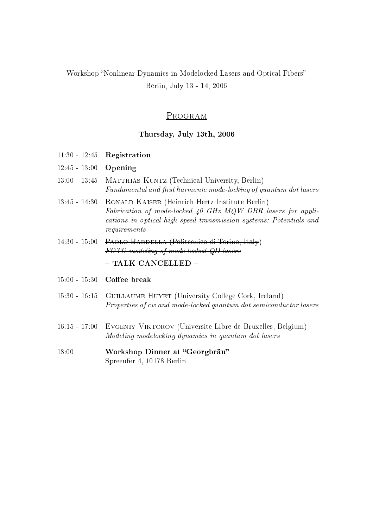# Workshop Nonlinear Dynami
s in Modelo
ked Lasers and Opti
al Fibers Berlin, July <sup>13</sup> - 14, <sup>2006</sup>

# Program

### Thursday, July 13th, 2006

- 11:30 12:45 Registration of the set of the set of the set of the set of the set of the set of the set of the
- $12:45 13:00$ Opening
- 13:00 13:45 MATTHIAS KUNTZ (Technical University, Berlin) Fundamental and rst harmoni mode-lo
king of quantum dot lasers
- 13:45 14:30 RONALD KAISER (Heinrich Hertz Institute Berlin) Fabri
ation of mode-lo
ked <sup>40</sup> GHz MQW DBR lasers for appli an high speed transmission speed transmission systems: Potentials and Monet requirements
- 14:30 15:00 Paolo Bardella (Polite
ni
o di Torino, Italy) FDTD modeling of mode lo
ked QD lasers

#### TALK CANCELLED

- $15:00 15:30$
- $15:30 16:15$ GUILLAUME HUYET (University College Cork, Ireland) Properties of <sup>w</sup> and mode-lo
ked quantum dot semi
ondu
tor lasers
- $16:15 17:00$ EVGENIY VIKTOROV (Universite Libre de Bruxelles, Belgium) Modeling modelo
king dynami
s in quantum dot lasers
- 18:00Workshop Dinner at "Georgbräu" Spreeufer 4, 10178 Berline 4, 10178 Berline 4, 10178 Berline 4, 10178 Berline 4, 10178 Berline 4, 10178 Berlin